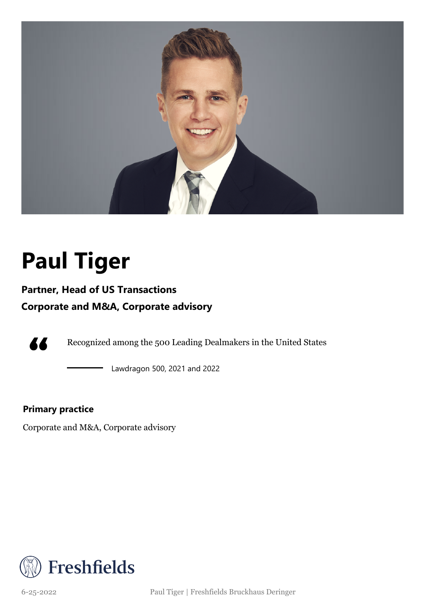

# **Paul Tiger**

### **Partner, Head of US Transactions**

### **Corporate and M&A, Corporate advisory**



Recognized among the 500 Leading Dealmakers in the United States

Lawdragon 500, 2021 and 2022

#### **Primary practice**

Corporate and M&A, Corporate advisory



6-25-2022 Paul Tiger | Freshfields Bruckhaus Deringer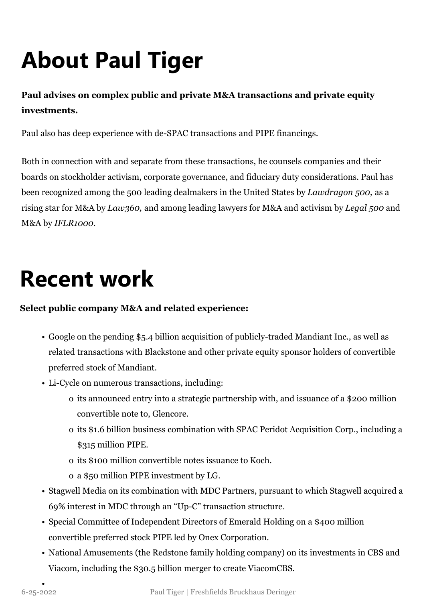# **About Paul Tiger**

### **Paul advises on complex public and private M&A transactions and private equity investments.**

Paul also has deep experience with de-SPAC transactions and PIPE financings.

Both in connection with and separate from these transactions, he counsels companies and their boards on stockholder activism, corporate governance, and fiduciary duty considerations. Paul has been recognized among the 500 leading dealmakers in the United States by *Lawdragon 500,* as a rising star for M&A by *Law360,* and among leading lawyers for M&A and activism by *Legal 500* and M&A by *IFLR1000.*

### **Recent work**

#### **Select public company M&A and related experience:**

- Google on the pending \$5.4 billion acquisition of publicly-traded Mandiant Inc., as well as related transactions with Blackstone and other private equity sponsor holders of convertible preferred stock of Mandiant.
- Li-Cycle on numerous transactions, including:
	- o its announced entry into a strategic partnership with, and issuance of a \$200 million convertible note to, Glencore.
	- o its \$1.6 billion business combination with SPAC Peridot Acquisition Corp., including a \$315 million PIPE.
	- o its \$100 million convertible notes issuance to Koch.
	- o a \$50 million PIPE investment by LG.
- Stagwell Media on its combination with MDC Partners, pursuant to which Stagwell acquired a 69% interest in MDC through an "Up-C" transaction structure.
- Special Committee of Independent Directors of Emerald Holding on a \$400 million convertible preferred stock PIPE led by Onex Corporation.
- National Amusements (the Redstone family holding company) on its investments in CBS and Viacom, including the \$30.5 billion merger to create ViacomCBS.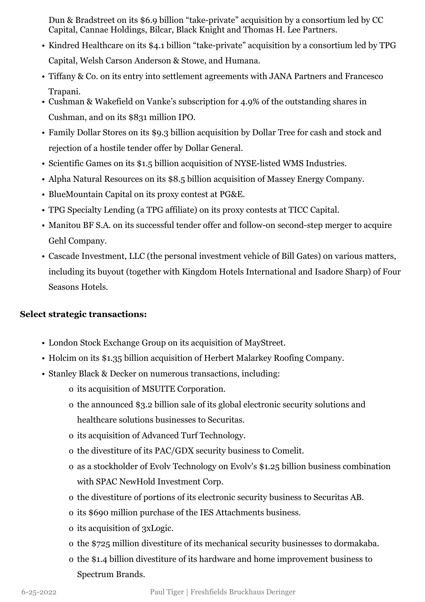Dun & Bradstreet on its \$6.9 billion "take-private" acquisition by a consortium led by CC Capital, Cannae Holdings, Bilcar, Black Knight and Thomas H. Lee Partners.

- Kindred Healthcare on its \$4.1 billion "take-private" acquisition by a consortium led by TPG Capital, Welsh Carson Anderson & Stowe, and Humana.
- Tiffany & Co. on its entry into settlement agreements with JANA Partners and Francesco Trapani.
- Cushman & Wakefield on Vanke's subscription for 4.9% of the outstanding shares in Cushman, and on its \$831 million IPO.
- Family Dollar Stores on its \$9.3 billion acquisition by Dollar Tree for cash and stock and rejection of a hostile tender offer by Dollar General.
- Scientific Games on its \$1.5 billion acquisition of NYSE-listed WMS Industries.
- Alpha Natural Resources on its \$8.5 billion acquisition of Massey Energy Company.
- BlueMountain Capital on its proxy contest at PG&E.
- TPG Specialty Lending (a TPG affiliate) on its proxy contests at TICC Capital.
- Manitou BF S.A. on its successful tender offer and follow-on second-step merger to acquire Gehl Company.
- Cascade Investment, LLC (the personal investment vehicle of Bill Gates) on various matters, including its buyout (together with Kingdom Hotels International and Isadore Sharp) of Four Seasons Hotels.

#### **Select strategic transactions:**

- London Stock Exchange Group on its acquisition of MayStreet.
- Holcim on its \$1.35 billion acquisition of Herbert Malarkey Roofing Company.
- Stanley Black & Decker on numerous transactions, including:
	- o its acquisition of MSUITE Corporation.
	- o the announced \$3.2 billion sale of its global electronic security solutions and healthcare solutions businesses to Securitas.
	- o its acquisition of Advanced Turf Technology.
	- o the divestiture of its PAC/GDX security business to Comelit.
	- o as a stockholder of Evolv Technology on Evolv's \$1.25 billion business combination with SPAC NewHold Investment Corp.
	- o the divestiture of portions of its electronic security business to Securitas AB.
	- o its \$690 million purchase of the IES Attachments business.
	- o its acquisition of 3xLogic.
	- o the \$725 million divestiture of its mechanical security businesses to dormakaba.
	- o the \$1.4 billion divestiture of its hardware and home improvement business to Spectrum Brands.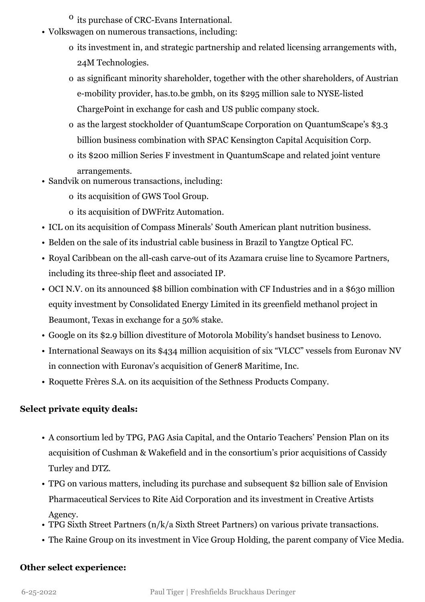- $\overline{0}$  its purchase of CRC-Evans International.
- Volkswagen on numerous transactions, including:
	- o its investment in, and strategic partnership and related licensing arrangements with, 24M Technologies.
	- o as significant minority shareholder, together with the other shareholders, of Austrian e-mobility provider, has.to.be gmbh, on its \$295 million sale to NYSE-listed ChargePoint in exchange for cash and US public company stock.
	- o as the largest stockholder of QuantumScape Corporation on QuantumScape's \$3.3 billion business combination with SPAC Kensington Capital Acquisition Corp.
	- o its \$200 million Series F investment in QuantumScape and related joint venture arrangements.
- Sandvik on numerous transactions, including:
	- o its acquisition of GWS Tool Group.
	- o its acquisition of DWFritz Automation.
- ICL on its acquisition of Compass Minerals' South American plant nutrition business.
- Belden on the sale of its industrial cable business in Brazil to Yangtze Optical FC.
- Royal Caribbean on the all-cash carve-out of its Azamara cruise line to Sycamore Partners, including its three-ship fleet and associated IP.
- OCI N.V. on its announced \$8 billion combination with CF Industries and in a \$630 million equity investment by Consolidated Energy Limited in its greenfield methanol project in Beaumont, Texas in exchange for a 50% stake.
- Google on its \$2.9 billion divestiture of Motorola Mobility's handset business to Lenovo.
- International Seaways on its \$434 million acquisition of six "VLCC" vessels from Euronav NV in connection with Euronav's acquisition of Gener8 Maritime, Inc.
- Roquette Frères S.A. on its acquisition of the Sethness Products Company.

#### **Select private equity deals:**

- A consortium led by TPG, PAG Asia Capital, and the Ontario Teachers' Pension Plan on its acquisition of Cushman & Wakefield and in the consortium's prior acquisitions of Cassidy Turley and DTZ.
- TPG on various matters, including its purchase and subsequent \$2 billion sale of Envision Pharmaceutical Services to Rite Aid Corporation and its investment in Creative Artists Agency.
- TPG Sixth Street Partners (n/k/a Sixth Street Partners) on various private transactions.
- The Raine Group on its investment in Vice Group Holding, the parent company of Vice Media.

#### **Other select experience:**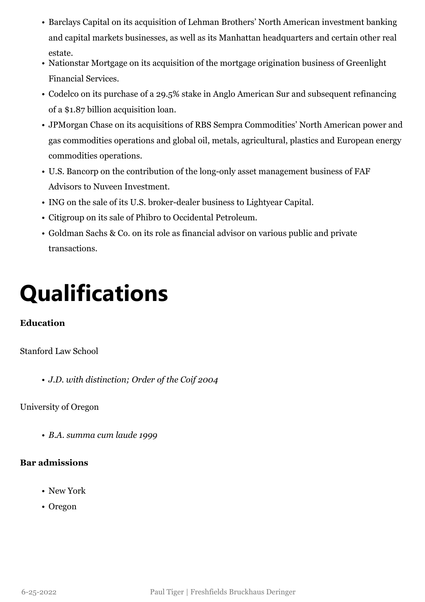- Barclays Capital on its acquisition of Lehman Brothers' North American investment banking and capital markets businesses, as well as its Manhattan headquarters and certain other real estate.
- Nationstar Mortgage on its acquisition of the mortgage origination business of Greenlight Financial Services.
- Codelco on its purchase of a 29.5% stake in Anglo American Sur and subsequent refinancing of a \$1.87 billion acquisition loan.
- JPMorgan Chase on its acquisitions of RBS Sempra Commodities' North American power and gas commodities operations and global oil, metals, agricultural, plastics and European energy commodities operations.
- U.S. Bancorp on the contribution of the long-only asset management business of FAF Advisors to Nuveen Investment.
- ING on the sale of its U.S. broker-dealer business to Lightyear Capital.
- Citigroup on its sale of Phibro to Occidental Petroleum.
- Goldman Sachs & Co. on its role as financial advisor on various public and private transactions.

## **Qualifications**

#### **Education**

#### Stanford Law School

• *J.D. with distinction; Order of the Coif 2004*

#### University of Oregon

• *B.A. summa cum laude 1999*

#### **Bar admissions**

- New York
- Oregon